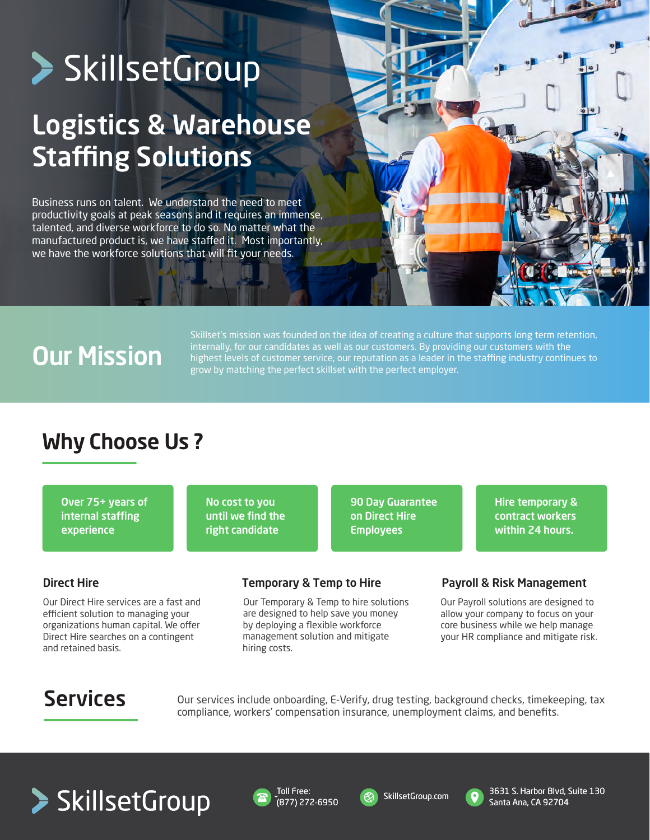# > SkillsetGroup

## Logistics & Warehouse **Staffing Solutions**

Business runs on talent. We understand the need to meet productivity goals at peak seasons and it requires an immense, talented, and diverse workforce to do so. No matter what the manufactured product is, we have staffed it. Most importantly, we have the workforce solutions that will fit your needs.

## Our Mission

Skillset's mission was founded on the idea of creating a culture that supports long term retention, internally, for our candidates as well as our customers. By providing our customers with the highest levels of customer service, our reputation as a leader in the staffing industry continues to grow by matching the perfect skillset with the perfect employer.

### Why Choose Us ?

Over 75+ years of internal staffing experience

No cost to you until we find the right candidate

90 Day Guarantee on Direct Hire Employees

Hire temporary & contract workers within 24 hours.

### Direct Hire

Our Direct Hire services are a fast and efficient solution to managing your organizations human capital. We offer Direct Hire searches on a contingent and retained basis.

Our Temporary & Temp to hire solutions are designed to help save you money by deploying a flexible workforce management solution and mitigate hiring costs.

### Temporary & Temp to Hire **Payroll & Risk Management**

Our Payroll solutions are designed to allow your company to focus on your core business while we help manage your HR compliance and mitigate risk.

Services Our services include onboarding, E-Verify, drug testing, background checks, timekeeping, tax compliance, workers' compensation insurance, unemployment claims, and benefits.









3631 S. Harbor Blvd, Suite 130 Santa Ana, CA 92704